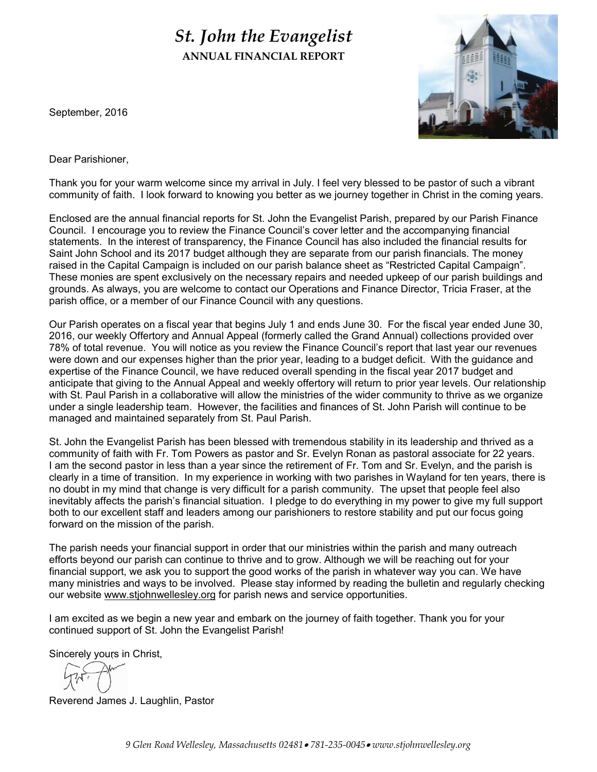# *St. John the Evangelist* **ANNUAL FINANCIAL REPORT**



September, 2016

Dear Parishioner,

Thank you for your warm welcome since my arrival in July. I feel very blessed to be pastor of such a vibrant community of faith. I look forward to knowing you better as we journey together in Christ in the coming years.

Enclosed are the annual financial reports for St. John the Evangelist Parish, prepared by our Parish Finance Council. I encourage you to review the Finance Council's cover letter and the accompanying financial statements. In the interest of transparency, the Finance Council has also included the financial results for Saint John School and its 2017 budget although they are separate from our parish financials. The money raised in the Capital Campaign is included on our parish balance sheet as "Restricted Capital Campaign". These monies are spent exclusively on the necessary repairs and needed upkeep of our parish buildings and grounds. As always, you are welcome to contact our Operations and Finance Director, Tricia Fraser, at the parish office, or a member of our Finance Council with any questions.

Our Parish operates on a fiscal year that begins July 1 and ends June 30. For the fiscal year ended June 30, 2016, our weekly Offertory and Annual Appeal (formerly called the Grand Annual) collections provided over 78% of total revenue. You will notice as you review the Finance Council's report that last year our revenues were down and our expenses higher than the prior year, leading to a budget deficit. With the guidance and expertise of the Finance Council, we have reduced overall spending in the fiscal year 2017 budget and anticipate that giving to the Annual Appeal and weekly offertory will return to prior year levels. Our relationship with St. Paul Parish in a collaborative will allow the ministries of the wider community to thrive as we organize under a single leadership team. However, the facilities and finances of St. John Parish will continue to be managed and maintained separately from St. Paul Parish.

St. John the Evangelist Parish has been blessed with tremendous stability in its leadership and thrived as a community of faith with Fr. Tom Powers as pastor and Sr. Evelyn Ronan as pastoral associate for 22 years. I am the second pastor in less than a year since the retirement of Fr. Tom and Sr. Evelyn, and the parish is clearly in a time of transition. In my experience in working with two parishes in Wayland for ten years, there is no doubt in my mind that change is very difficult for a parish community. The upset that people feel also inevitably affects the parish's financial situation. I pledge to do everything in my power to give my full support both to our excellent staff and leaders among our parishioners to restore stability and put our focus going forward on the mission of the parish.

The parish needs your financial support in order that our ministries within the parish and many outreach efforts beyond our parish can continue to thrive and to grow. Although we will be reaching out for your financial support, we ask you to support the good works of the parish in whatever way you can. We have many ministries and ways to be involved. Please stay informed by reading the bulletin and regularly checking our website www.stjohnwellesley.org for parish news and service opportunities.

I am excited as we begin a new year and embark on the journey of faith together. Thank you for your continued support of St. John the Evangelist Parish!

Sincerely yours in Christ,

Reverend James J. Laughlin, Pastor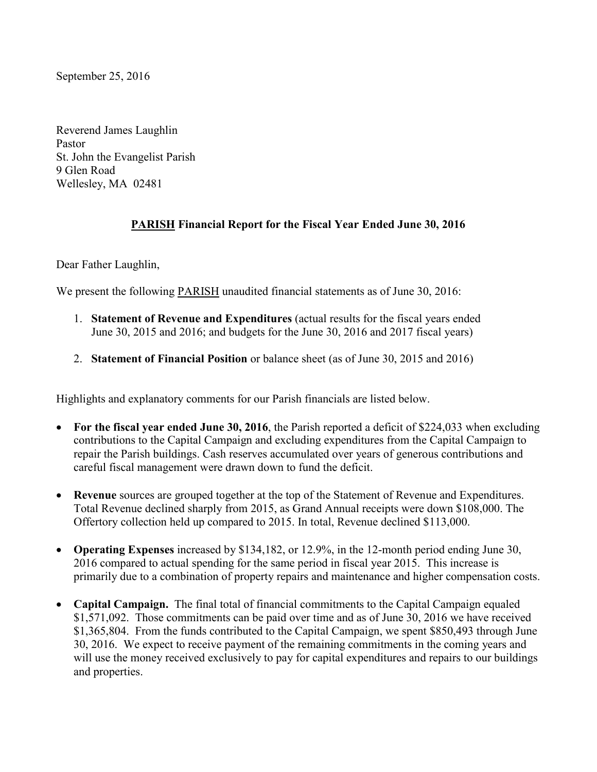September 25, 2016

Reverend James Laughlin Pastor St. John the Evangelist Parish 9 Glen Road Wellesley, MA 02481

## **PARISH Financial Report for the Fiscal Year Ended June 30, 2016**

Dear Father Laughlin,

We present the following PARISH unaudited financial statements as of June 30, 2016:

- 1. **Statement of Revenue and Expenditures** (actual results for the fiscal years ended June 30, 2015 and 2016; and budgets for the June 30, 2016 and 2017 fiscal years)
- 2. **Statement of Financial Position** or balance sheet (as of June 30, 2015 and 2016)

Highlights and explanatory comments for our Parish financials are listed below.

- For the fiscal year ended June 30, 2016, the Parish reported a deficit of \$224,033 when excluding contributions to the Capital Campaign and excluding expenditures from the Capital Campaign to repair the Parish buildings. Cash reserves accumulated over years of generous contributions and careful fiscal management were drawn down to fund the deficit.
- **Revenue** sources are grouped together at the top of the Statement of Revenue and Expenditures. Total Revenue declined sharply from 2015, as Grand Annual receipts were down \$108,000. The Offertory collection held up compared to 2015. In total, Revenue declined \$113,000.
- **Operating Expenses** increased by \$134,182, or 12.9%, in the 12-month period ending June 30, 2016 compared to actual spending for the same period in fiscal year 2015. This increase is primarily due to a combination of property repairs and maintenance and higher compensation costs.
- **Capital Campaign.** The final total of financial commitments to the Capital Campaign equaled \$1,571,092. Those commitments can be paid over time and as of June 30, 2016 we have received \$1,365,804. From the funds contributed to the Capital Campaign, we spent \$850,493 through June 30, 2016. We expect to receive payment of the remaining commitments in the coming years and will use the money received exclusively to pay for capital expenditures and repairs to our buildings and properties.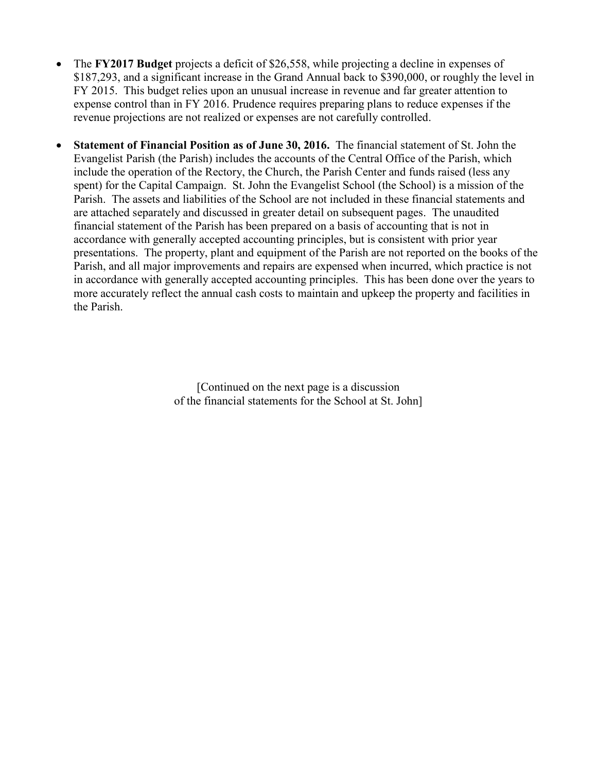- The **FY2017 Budget** projects a deficit of \$26,558, while projecting a decline in expenses of \$187,293, and a significant increase in the Grand Annual back to \$390,000, or roughly the level in FY 2015. This budget relies upon an unusual increase in revenue and far greater attention to expense control than in FY 2016. Prudence requires preparing plans to reduce expenses if the revenue projections are not realized or expenses are not carefully controlled.
- **Statement of Financial Position as of June 30, 2016.** The financial statement of St. John the Evangelist Parish (the Parish) includes the accounts of the Central Office of the Parish, which include the operation of the Rectory, the Church, the Parish Center and funds raised (less any spent) for the Capital Campaign. St. John the Evangelist School (the School) is a mission of the Parish. The assets and liabilities of the School are not included in these financial statements and are attached separately and discussed in greater detail on subsequent pages. The unaudited financial statement of the Parish has been prepared on a basis of accounting that is not in accordance with generally accepted accounting principles, but is consistent with prior year presentations. The property, plant and equipment of the Parish are not reported on the books of the Parish, and all major improvements and repairs are expensed when incurred, which practice is not in accordance with generally accepted accounting principles. This has been done over the years to more accurately reflect the annual cash costs to maintain and upkeep the property and facilities in the Parish.

[Continued on the next page is a discussion of the financial statements for the School at St. John]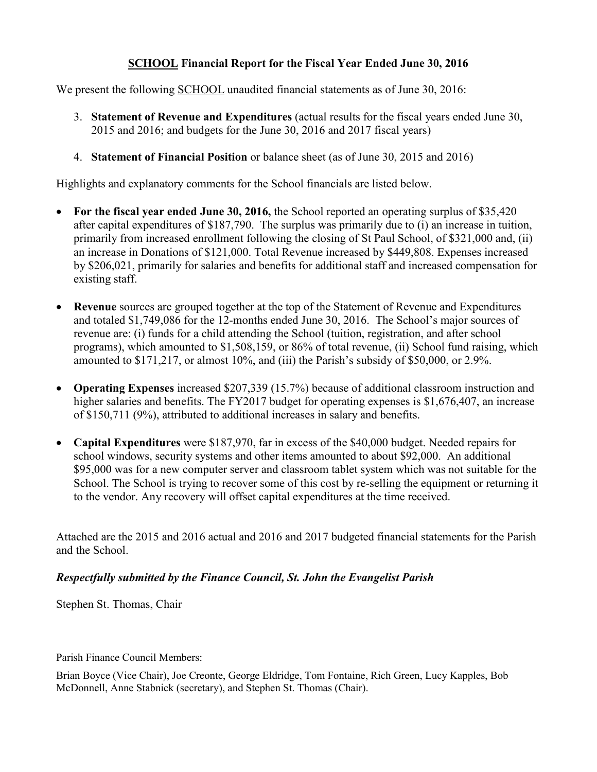### **SCHOOL Financial Report for the Fiscal Year Ended June 30, 2016**

We present the following SCHOOL unaudited financial statements as of June 30, 2016:

- 3. **Statement of Revenue and Expenditures** (actual results for the fiscal years ended June 30, 2015 and 2016; and budgets for the June 30, 2016 and 2017 fiscal years)
- 4. **Statement of Financial Position** or balance sheet (as of June 30, 2015 and 2016)

Highlights and explanatory comments for the School financials are listed below.

- **For the fiscal year ended June 30, 2016,** the School reported an operating surplus of \$35,420 after capital expenditures of \$187,790. The surplus was primarily due to (i) an increase in tuition, primarily from increased enrollment following the closing of St Paul School, of \$321,000 and, (ii) an increase in Donations of \$121,000. Total Revenue increased by \$449,808. Expenses increased by \$206,021, primarily for salaries and benefits for additional staff and increased compensation for existing staff.
- **Revenue** sources are grouped together at the top of the Statement of Revenue and Expenditures and totaled \$1,749,086 for the 12-months ended June 30, 2016. The School's major sources of revenue are: (i) funds for a child attending the School (tuition, registration, and after school programs), which amounted to \$1,508,159, or 86% of total revenue, (ii) School fund raising, which amounted to \$171,217, or almost 10%, and (iii) the Parish's subsidy of \$50,000, or 2.9%.
- **Operating Expenses** increased \$207,339 (15.7%) because of additional classroom instruction and higher salaries and benefits. The FY2017 budget for operating expenses is \$1,676,407, an increase of \$150,711 (9%), attributed to additional increases in salary and benefits.
- **Capital Expenditures** were \$187,970, far in excess of the \$40,000 budget. Needed repairs for school windows, security systems and other items amounted to about \$92,000. An additional \$95,000 was for a new computer server and classroom tablet system which was not suitable for the School. The School is trying to recover some of this cost by re-selling the equipment or returning it to the vendor. Any recovery will offset capital expenditures at the time received.

Attached are the 2015 and 2016 actual and 2016 and 2017 budgeted financial statements for the Parish and the School.

### *Respectfully submitted by the Finance Council, St. John the Evangelist Parish*

Stephen St. Thomas, Chair

Parish Finance Council Members:

Brian Boyce (Vice Chair), Joe Creonte, George Eldridge, Tom Fontaine, Rich Green, Lucy Kapples, Bob McDonnell, Anne Stabnick (secretary), and Stephen St. Thomas (Chair).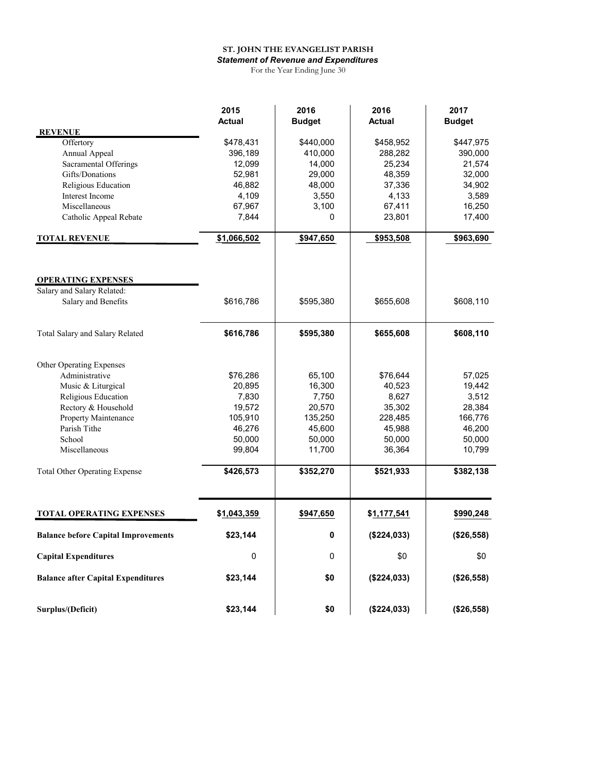#### **ST. JOHN THE EVANGELIST PARISH** *Statement of Revenue and Expenditures*

For the Year Ending June 30

|                                            | 2015          | 2016          | 2016        | 2017          |
|--------------------------------------------|---------------|---------------|-------------|---------------|
|                                            | <b>Actual</b> | <b>Budget</b> | Actual      | <b>Budget</b> |
| <b>REVENUE</b>                             |               |               |             |               |
| Offertory                                  | \$478,431     | \$440,000     | \$458,952   | \$447,975     |
| Annual Appeal                              | 396,189       | 410,000       | 288,282     | 390,000       |
| Sacramental Offerings                      | 12,099        | 14,000        | 25,234      | 21,574        |
| Gifts/Donations                            | 52,981        | 29,000        | 48,359      | 32,000        |
| Religious Education                        | 46,882        | 48,000        | 37,336      | 34,902        |
| Interest Income                            | 4,109         | 3,550         | 4,133       | 3,589         |
| Miscellaneous                              | 67,967        | 3,100         | 67,411      | 16,250        |
| Catholic Appeal Rebate                     | 7,844         | $\Omega$      | 23,801      | 17,400        |
| <b>TOTAL REVENUE</b>                       | \$1,066,502   | \$947,650     | \$953,508   | \$963,690     |
|                                            |               |               |             |               |
| <b>OPERATING EXPENSES</b>                  |               |               |             |               |
| Salary and Salary Related:                 |               |               |             |               |
| Salary and Benefits                        | \$616,786     | \$595,380     | \$655,608   | \$608,110     |
| Total Salary and Salary Related            | \$616,786     | \$595,380     | \$655,608   | \$608,110     |
|                                            |               |               |             |               |
| Other Operating Expenses                   |               |               |             |               |
| Administrative                             | \$76,286      | 65,100        | \$76,644    | 57,025        |
| Music & Liturgical                         | 20,895        | 16,300        | 40,523      | 19,442        |
| Religious Education                        | 7,830         | 7,750         | 8,627       | 3,512         |
| Rectory & Household                        | 19,572        | 20,570        | 35,302      | 28,384        |
| Property Maintenance                       | 105,910       | 135,250       | 228,485     | 166,776       |
| Parish Tithe                               | 46,276        | 45,600        | 45,988      | 46,200        |
| School                                     | 50,000        | 50,000        | 50,000      | 50,000        |
| Miscellaneous                              | 99,804        | 11,700        | 36,364      | 10,799        |
| <b>Total Other Operating Expense</b>       | \$426,573     | \$352,270     | \$521,933   | \$382,138     |
|                                            |               |               |             |               |
| <b>TOTAL OPERATING EXPENSES</b>            | \$1,043,359   | \$947,650     | \$1,177,541 | \$990,248     |
| <b>Balance before Capital Improvements</b> | \$23,144      | 0             | (\$224,033) | (\$26,558)    |
| <b>Capital Expenditures</b>                | 0             | 0             | \$0         | \$0           |
| <b>Balance after Capital Expenditures</b>  | \$23,144      | \$0           | (\$224,033) | (\$26,558)    |
|                                            |               |               |             |               |
| Surplus/(Deficit)                          | \$23,144      | \$0           | (\$224,033) | (\$26,558)    |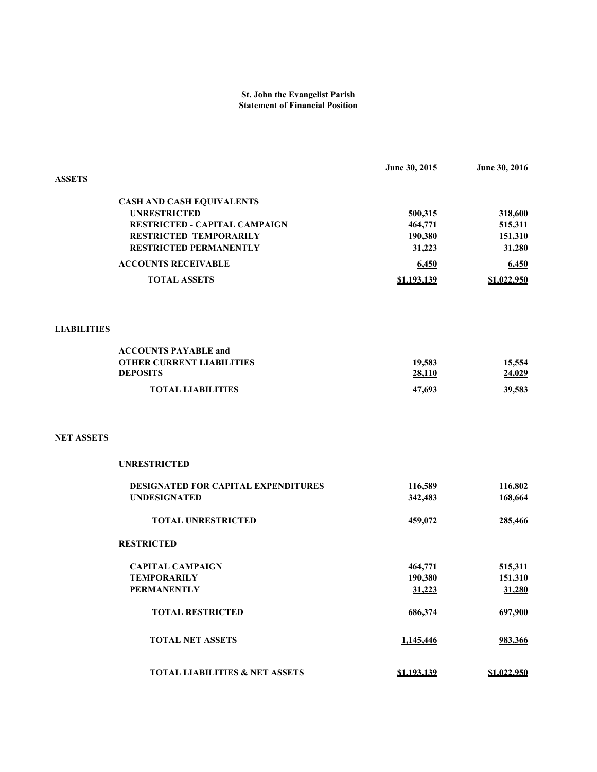### **St. John the Evangelist Parish Statement of Financial Position**

|                    |                                                         | June 30, 2015      | June 30, 2016      |
|--------------------|---------------------------------------------------------|--------------------|--------------------|
| <b>ASSETS</b>      |                                                         |                    |                    |
|                    |                                                         |                    |                    |
|                    | <b>CASH AND CASH EQUIVALENTS</b><br><b>UNRESTRICTED</b> |                    |                    |
|                    | <b>RESTRICTED - CAPITAL CAMPAIGN</b>                    | 500,315<br>464,771 | 318,600            |
|                    | RESTRICTED TEMPORARILY                                  | 190,380            | 515,311<br>151,310 |
|                    | <b>RESTRICTED PERMANENTLY</b>                           | 31,223             | 31,280             |
|                    | <b>ACCOUNTS RECEIVABLE</b>                              |                    |                    |
|                    |                                                         | 6,450              | 6,450              |
|                    | <b>TOTAL ASSETS</b>                                     | \$1,193,139        | \$1,022,950        |
|                    |                                                         |                    |                    |
| <b>LIABILITIES</b> |                                                         |                    |                    |
|                    | <b>ACCOUNTS PAYABLE and</b>                             |                    |                    |
|                    | <b>OTHER CURRENT LIABILITIES</b>                        | 19,583             | 15,554             |
|                    | <b>DEPOSITS</b>                                         | 28,110             | 24,029             |
|                    | <b>TOTAL LIABILITIES</b>                                | 47,693             | 39,583             |
|                    |                                                         |                    |                    |
| <b>NET ASSETS</b>  |                                                         |                    |                    |
|                    | <b>UNRESTRICTED</b>                                     |                    |                    |
|                    | DESIGNATED FOR CAPITAL EXPENDITURES                     | 116,589            | 116,802            |
|                    | <b>UNDESIGNATED</b>                                     | 342,483            | 168,664            |
|                    | <b>TOTAL UNRESTRICTED</b>                               | 459,072            | 285,466            |
|                    | <b>RESTRICTED</b>                                       |                    |                    |
|                    | <b>CAPITAL CAMPAIGN</b>                                 | 464,771            | 515,311            |
|                    | <b>TEMPORARILY</b>                                      | 190,380            | 151,310            |
|                    | <b>PERMANENTLY</b>                                      | 31,223             | 31,280             |
|                    | <b>TOTAL RESTRICTED</b>                                 | 686,374            | 697,900            |
|                    | <b>TOTAL NET ASSETS</b>                                 | 1,145,446          | 983,366            |
|                    | <b>TOTAL LIABILITIES &amp; NET ASSETS</b>               | \$1,193,139        | \$1,022,950        |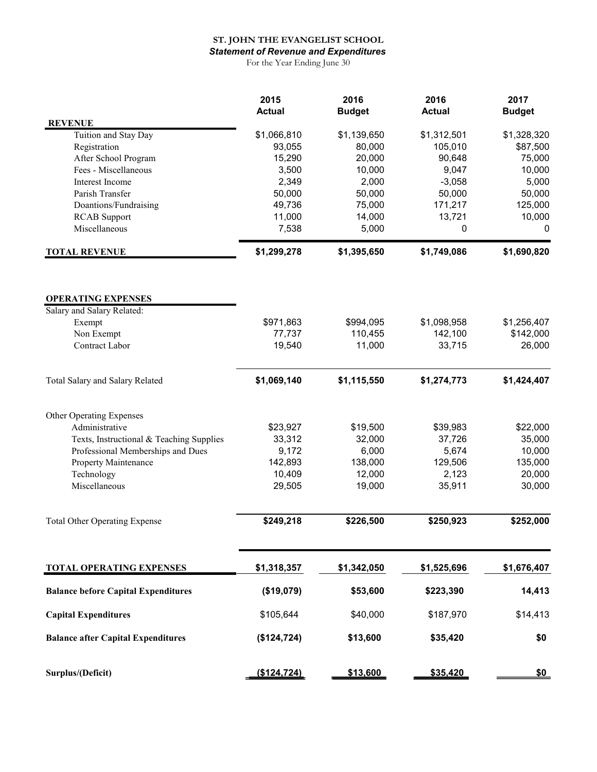## **ST. JOHN THE EVANGELIST SCHOOL**

*Statement of Revenue and Expenditures*

For the Year Ending June 30

| <b>REVENUE</b>                             | 2015<br><b>Actual</b> | 2016<br><b>Budget</b> | 2016<br><b>Actual</b>  | 2017<br><b>Budget</b>    |
|--------------------------------------------|-----------------------|-----------------------|------------------------|--------------------------|
| Tuition and Stay Day                       | \$1,066,810           | \$1,139,650           | \$1,312,501            | \$1,328,320              |
| Registration                               | 93,055                | 80,000                | 105,010                | \$87,500                 |
| After School Program                       | 15,290                | 20,000                | 90,648                 | 75,000                   |
| Fees - Miscellaneous                       | 3,500                 | 10,000                | 9,047                  | 10,000                   |
| Interest Income                            | 2,349                 | 2,000                 | $-3,058$               | 5,000                    |
| Parish Transfer                            | 50,000                | 50,000                | 50,000                 | 50,000                   |
| Doantions/Fundraising                      | 49,736                | 75,000                | 171,217                | 125,000                  |
| <b>RCAB</b> Support                        | 11,000                | 14,000                | 13,721                 | 10,000                   |
| Miscellaneous                              | 7,538                 | 5,000                 | 0                      | 0                        |
| <b>TOTAL REVENUE</b>                       | \$1,299,278           | \$1,395,650           | \$1,749,086            | \$1,690,820              |
| <b>OPERATING EXPENSES</b>                  |                       |                       |                        |                          |
| Salary and Salary Related:                 |                       |                       |                        |                          |
| Exempt                                     | \$971,863<br>77,737   | \$994,095<br>110,455  | \$1,098,958<br>142,100 | \$1,256,407<br>\$142,000 |
| Non Exempt<br>Contract Labor               | 19,540                | 11,000                | 33,715                 | 26,000                   |
|                                            |                       |                       |                        |                          |
| Total Salary and Salary Related            | \$1,069,140           | \$1,115,550           | \$1,274,773            | \$1,424,407              |
| Other Operating Expenses                   |                       |                       |                        |                          |
| Administrative                             | \$23,927              | \$19,500              | \$39,983               | \$22,000                 |
| Texts, Instructional & Teaching Supplies   | 33,312                | 32,000                | 37,726                 | 35,000                   |
| Professional Memberships and Dues          | 9,172                 | 6,000                 | 5,674                  | 10,000                   |
| Property Maintenance                       | 142,893               | 138,000               | 129,506                | 135,000                  |
| Technology                                 | 10,409                | 12,000                | 2,123                  | 20,000                   |
| Miscellaneous                              | 29,505                | 19,000                | 35,911                 | 30,000                   |
| <b>Total Other Operating Expense</b>       | \$249,218             | \$226,500             | \$250,923              | \$252,000                |
|                                            |                       |                       |                        |                          |
| <b>TOTAL OPERATING EXPENSES</b>            | \$1,318,357           | \$1,342,050           | \$1,525,696            | \$1,676,407              |
| <b>Balance before Capital Expenditures</b> | (\$19,079)            | \$53,600              | \$223,390              | 14,413                   |
| <b>Capital Expenditures</b>                | \$105,644             | \$40,000              | \$187,970              | \$14,413                 |
|                                            |                       |                       |                        |                          |
| <b>Balance after Capital Expenditures</b>  | (\$124,724)           | \$13,600              | \$35,420               | \$0                      |
| Surplus/(Deficit)                          | (\$124, 724)          | \$13,600              | \$35,420               | <u>\$0</u>               |